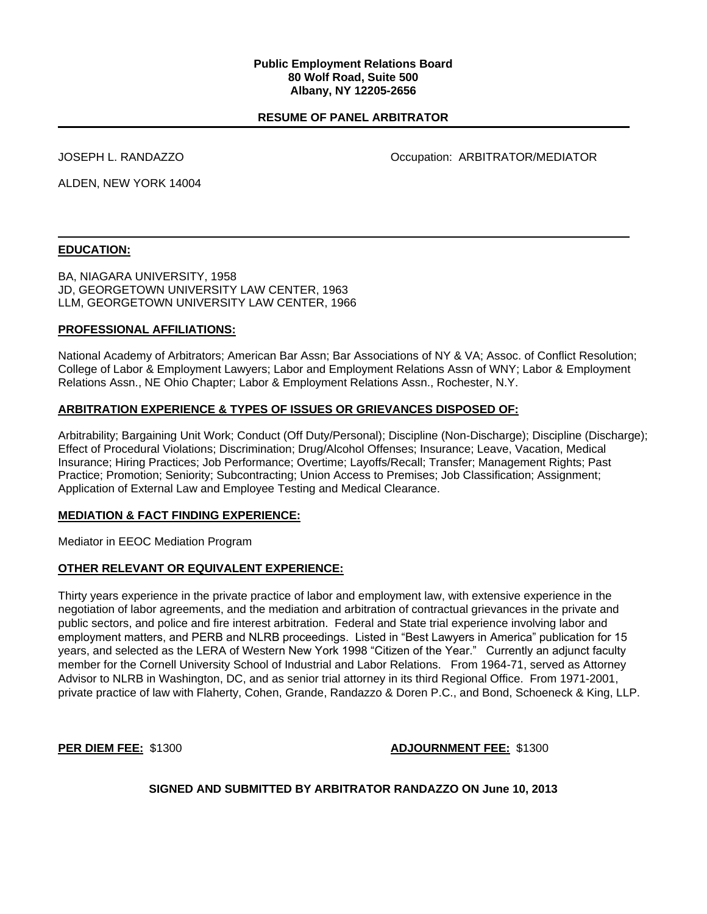#### **Public Employment Relations Board 80 Wolf Road, Suite 500 Albany, NY 12205-2656**

## **RESUME OF PANEL ARBITRATOR**

JOSEPH L. RANDAZZO **DESAULTER SERVICE SERVICE SERVICE OCCUPATION** Occupation: ARBITRATOR/MEDIATOR

ALDEN, NEW YORK 14004

#### **EDUCATION:**

BA, NIAGARA UNIVERSITY, 1958 JD, GEORGETOWN UNIVERSITY LAW CENTER, 1963 LLM, GEORGETOWN UNIVERSITY LAW CENTER, 1966

#### **PROFESSIONAL AFFILIATIONS:**

National Academy of Arbitrators; American Bar Assn; Bar Associations of NY & VA; Assoc. of Conflict Resolution; College of Labor & Employment Lawyers; Labor and Employment Relations Assn of WNY; Labor & Employment Relations Assn., NE Ohio Chapter; Labor & Employment Relations Assn., Rochester, N.Y.

#### **ARBITRATION EXPERIENCE & TYPES OF ISSUES OR GRIEVANCES DISPOSED OF:**

Arbitrability; Bargaining Unit Work; Conduct (Off Duty/Personal); Discipline (Non-Discharge); Discipline (Discharge); Effect of Procedural Violations; Discrimination; Drug/Alcohol Offenses; Insurance; Leave, Vacation, Medical Insurance; Hiring Practices; Job Performance; Overtime; Layoffs/Recall; Transfer; Management Rights; Past Practice; Promotion; Seniority; Subcontracting; Union Access to Premises; Job Classification; Assignment; Application of External Law and Employee Testing and Medical Clearance.

#### **MEDIATION & FACT FINDING EXPERIENCE:**

Mediator in EEOC Mediation Program

#### **OTHER RELEVANT OR EQUIVALENT EXPERIENCE:**

Thirty years experience in the private practice of labor and employment law, with extensive experience in the negotiation of labor agreements, and the mediation and arbitration of contractual grievances in the private and public sectors, and police and fire interest arbitration. Federal and State trial experience involving labor and employment matters, and PERB and NLRB proceedings. Listed in "Best Lawyers in America" publication for 15 years, and selected as the LERA of Western New York 1998 "Citizen of the Year." Currently an adjunct faculty member for the Cornell University School of Industrial and Labor Relations. From 1964-71, served as Attorney Advisor to NLRB in Washington, DC, and as senior trial attorney in its third Regional Office. From 1971-2001, private practice of law with Flaherty, Cohen, Grande, Randazzo & Doren P.C., and Bond, Schoeneck & King, LLP.

#### **PER DIEM FEE:** \$1300 **ADJOURNMENT FEE:** \$1300

**SIGNED AND SUBMITTED BY ARBITRATOR RANDAZZO ON June 10, 2013**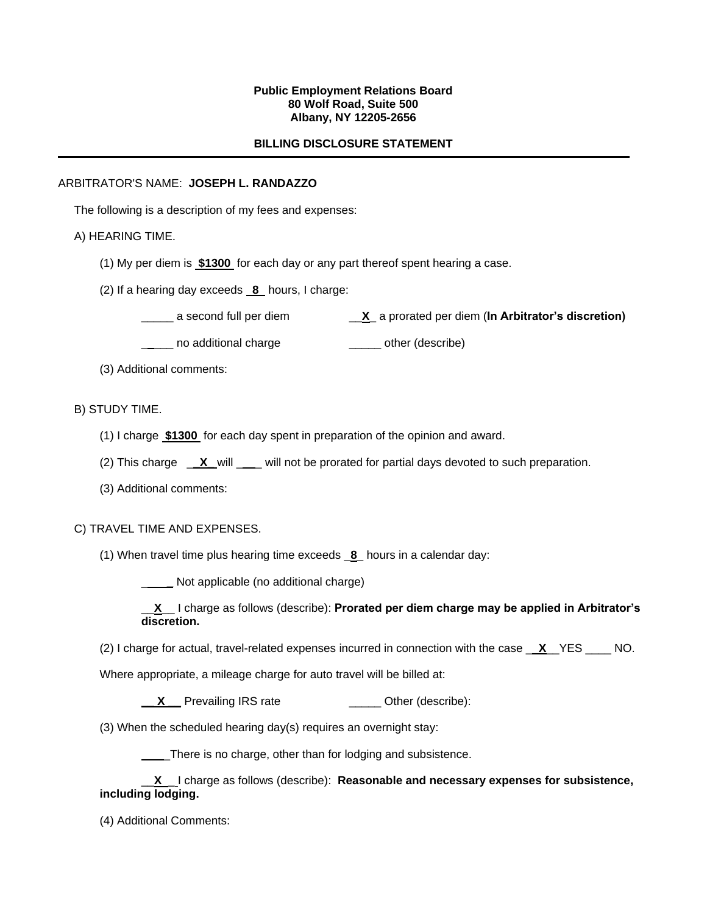### **Public Employment Relations Board 80 Wolf Road, Suite 500 Albany, NY 12205-2656**

## **BILLING DISCLOSURE STATEMENT**

### ARBITRATOR'S NAME: **JOSEPH L. RANDAZZO**

The following is a description of my fees and expenses:

## A) HEARING TIME.

- (1) My per diem is **\$1300** for each day or any part thereof spent hearing a case.
- (2) If a hearing day exceeds **8** hours, I charge:
	- \_\_\_\_\_ a second full per diem \_\_**X**\_ a prorated per diem (**In Arbitrator's discretion)**

**\_\_\_\_** no additional charge **\_\_\_\_\_** other (describe)

(3) Additional comments:

## B) STUDY TIME.

- (1) I charge **\$1300** for each day spent in preparation of the opinion and award.
- (2) This charge \_\_**X**\_will \_\_\_ will not be prorated for partial days devoted to such preparation.
- (3) Additional comments:

### C) TRAVEL TIME AND EXPENSES.

(1) When travel time plus hearing time exceeds \_**8**\_ hours in a calendar day:

\_ **\_** Not applicable (no additional charge)

\_\_**X**\_\_ I charge as follows (describe): **Prorated per diem charge may be applied in Arbitrator's discretion.**

(2) I charge for actual, travel-related expenses incurred in connection with the case \_ **X**\_\_YES \_\_\_\_ NO.

Where appropriate, a mileage charge for auto travel will be billed at:

**\_\_ X \_\_** Prevailing IRS rate \_\_\_\_\_ Other (describe):

(3) When the scheduled hearing day(s) requires an overnight stay:

There is no charge, other than for lodging and subsistence.

\_\_**X** \_ I charge as follows (describe): **Reasonable and necessary expenses for subsistence, including lodging.**

(4) Additional Comments: